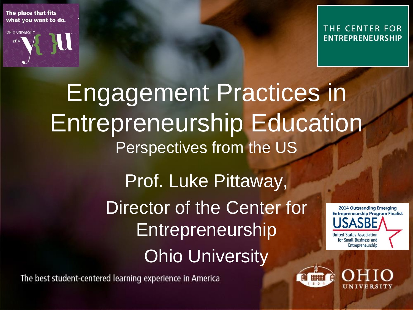The place that fits what you want to do.

**OHIO UNIVERSITY** 



THE CENTER FOR **ENTREPRENEURSHIP** 

#### Engagement Practices in Entrepreneurship Education Perspectives from the US Prof. Luke Pittaway, Director of the Center for **2014 Outstanding Emerging Entrepreneurship Program Finalist** Entrepreneurship **United States Association** for Small Business and Entrepreneurship Ohio University

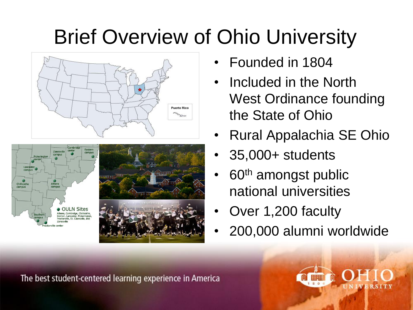#### Brief Overview of Ohio University





- Founded in 1804
- Included in the North West Ordinance founding the State of Ohio
- Rural Appalachia SE Ohio
- 35,000+ students
- 60<sup>th</sup> amongst public national universities
- Over 1,200 faculty
- 200,000 alumni worldwide

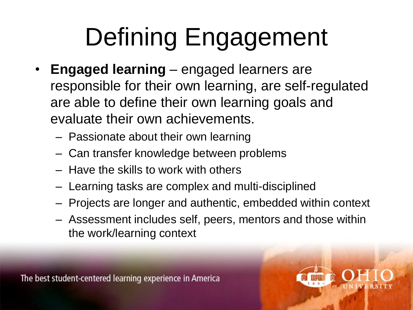# Defining Engagement

- **Engaged learning**  engaged learners are responsible for their own learning, are self-regulated are able to define their own learning goals and evaluate their own achievements.
	- Passionate about their own learning
	- Can transfer knowledge between problems
	- Have the skills to work with others
	- Learning tasks are complex and multi-disciplined
	- Projects are longer and authentic, embedded within context
	- Assessment includes self, peers, mentors and those within the work/learning context

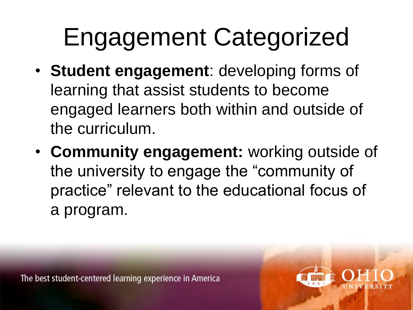### Engagement Categorized

- **Student engagement**: developing forms of learning that assist students to become engaged learners both within and outside of the curriculum.
- **Community engagement:** working outside of the university to engage the "community of practice" relevant to the educational focus of a program.

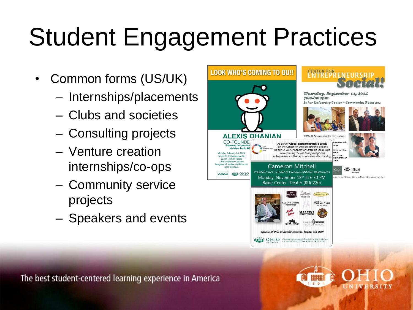# Student Engagement Practices

- Common forms (US/UK)
	- Internships/placements
	- Clubs and societies
	- Consulting projects
	- Venture creation internships/co-ops
	- Community service projects
	- Speakers and events



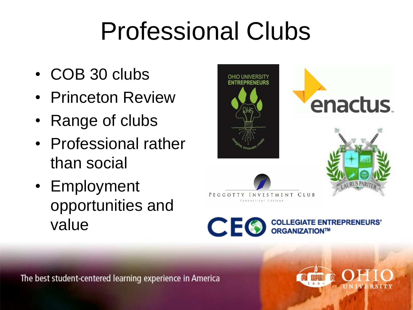#### Professional Clubs

- COB 30 clubs
- Princeton Review
- Range of clubs
- Professional rather than social
- Employment opportunities and value





RUS PARI



**CEO** 

**COLLEGIATE ENTREPRENEURS'** ORGANIZATION™

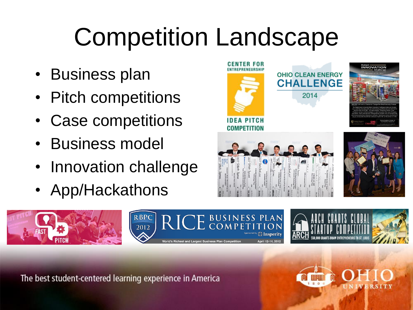#### Competition Landscape

- Business plan
- Pitch competitions
- Case competitions
- Business model
- Innovation challenge
- App/Hackathons









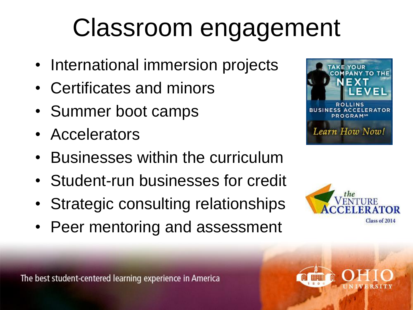#### Classroom engagement

- International immersion projects
- Certificates and minors
- Summer boot camps
- Accelerators
- Businesses within the curriculum
- Student-run businesses for credit
- Strategic consulting relationships
- Peer mentoring and assessment







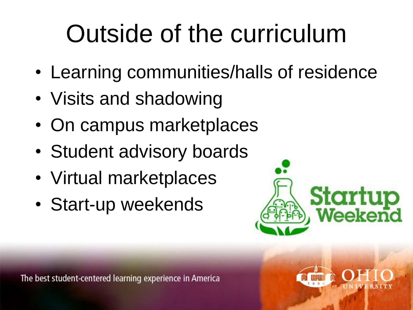## Outsid[e of the cur](http://www.google.com/url?sa=i&rct=j&q=&esrc=s&source=images&cd=&cad=rja&uact=8&docid=eQnAZ6E2aqpz8M&tbnid=VztFypcDzHZIhM:&ved=0CAUQjRw&url=http%3A%2F%2Fwww.nextupasia.com%2Fstartup-weekend-in-malaysia%2F&ei=XN4AVKSlJcSwyASAyoH4Dg&psig=AFQjCNGFjPNwx6DGBcH3tkifLTOpFhEuPg&ust=1409429455648039)riculum

- Learning communities/halls of residence
- Visits and shadowing
- On campus marketplaces
- Student advisory boards
- Virtual marketplaces
- Start-up weekends



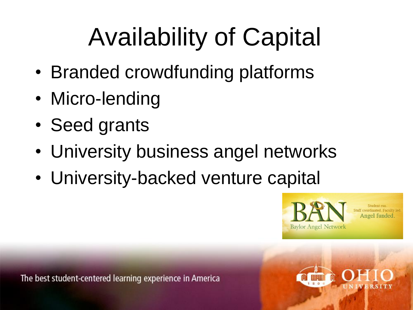# Availability of Capital

- Branded crowdfunding platforms
- Micro-lending
- Seed grants
- University business angel networks
- University-backed venture capital





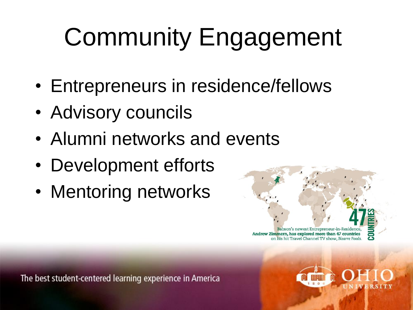# Community Engagement

- Entrepreneurs in residence/fellows
- Advisory councils
- Alumni networks and events
- Development efforts
- Mentoring networks



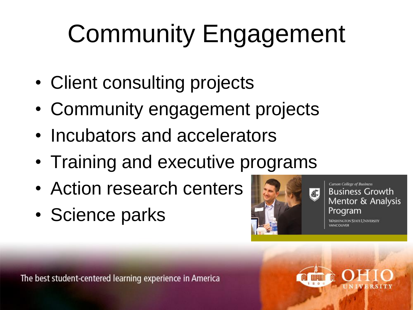# Community Engagement

- Client consulting projects
- Community engagement projects
- Incubators and accelerators
- Training and executive programs
- Action research centers
- Science parks



**Carson College of Business Business Growth** Mentor & Analysis Program

**WASHINGTON STATE UNIVERSITY** VANCOUVER